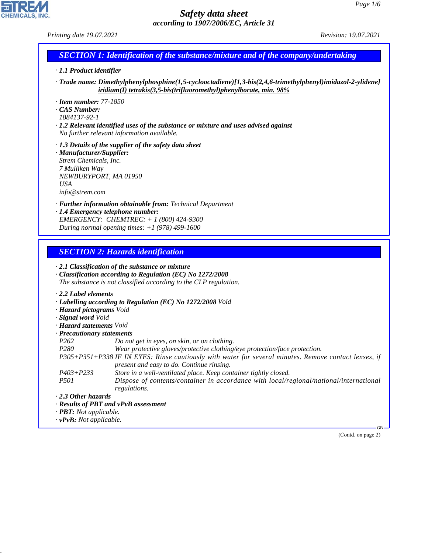# **CHEMICALS, INC.**

44.1.1

# *Safety data sheet according to 1907/2006/EC, Article 31*

*Printing date 19.07.2021 Revision: 19.07.2021*

# *SECTION 1: Identification of the substance/mixture and of the company/undertaking*

- *· 1.1 Product identifier*
- *· Trade name: Dimethylphenylphosphine(1,5-cyclooctadiene)[1,3-bis(2,4,6-trimethylphenyl)imidazol-2-ylidene] iridium(I) tetrakis(3,5-bis(trifluoromethyl)phenylborate, min. 98%*
- *· Item number: 77-1850*
- *· CAS Number:*
- *1884137-92-1*
- *· 1.2 Relevant identified uses of the substance or mixture and uses advised against No further relevant information available.*
- *· 1.3 Details of the supplier of the safety data sheet*
- *· Manufacturer/Supplier: Strem Chemicals, Inc. 7 Mulliken Way NEWBURYPORT, MA 01950 USA info@strem.com*
- *· Further information obtainable from: Technical Department*
- *· 1.4 Emergency telephone number: EMERGENCY: CHEMTREC: + 1 (800) 424-9300 During normal opening times: +1 (978) 499-1600*

# *SECTION 2: Hazards identification*

| $\cdot$ 2.1 Classification of the substance or mixture<br>$\cdot$ Classification according to Regulation (EC) No 1272/2008<br>The substance is not classified according to the CLP regulation. |                                                                                                                                                    |  |  |  |
|------------------------------------------------------------------------------------------------------------------------------------------------------------------------------------------------|----------------------------------------------------------------------------------------------------------------------------------------------------|--|--|--|
| $\cdot$ 2.2 Label elements                                                                                                                                                                     |                                                                                                                                                    |  |  |  |
|                                                                                                                                                                                                | · Labelling according to Regulation (EC) No 1272/2008 Void                                                                                         |  |  |  |
| · Hazard pictograms Void                                                                                                                                                                       |                                                                                                                                                    |  |  |  |
| · Signal word Void                                                                                                                                                                             |                                                                                                                                                    |  |  |  |
| · <b>Hazard statements</b> Void                                                                                                                                                                |                                                                                                                                                    |  |  |  |
| · Precautionary statements                                                                                                                                                                     |                                                                                                                                                    |  |  |  |
| P <sub>262</sub>                                                                                                                                                                               | Do not get in eyes, on skin, or on clothing.                                                                                                       |  |  |  |
| <i>P280</i>                                                                                                                                                                                    | Wear protective gloves/protective clothing/eye protection/face protection.                                                                         |  |  |  |
|                                                                                                                                                                                                | P305+P351+P338 IF IN EYES: Rinse cautiously with water for several minutes. Remove contact lenses, if<br>present and easy to do. Continue rinsing. |  |  |  |
| $P403 + P233$                                                                                                                                                                                  | Store in a well-ventilated place. Keep container tightly closed.                                                                                   |  |  |  |
| <i>P501</i>                                                                                                                                                                                    | Dispose of contents/container in accordance with local/regional/national/international<br>regulations.                                             |  |  |  |
| $\cdot$ 2.3 Other hazards                                                                                                                                                                      |                                                                                                                                                    |  |  |  |
|                                                                                                                                                                                                | $\cdot$ Results of PBT and vPvB assessment                                                                                                         |  |  |  |
| $\cdot$ <b>PBT:</b> Not applicable.                                                                                                                                                            |                                                                                                                                                    |  |  |  |
| $\cdot v$ PvB: Not applicable.                                                                                                                                                                 |                                                                                                                                                    |  |  |  |
|                                                                                                                                                                                                | $-GB$                                                                                                                                              |  |  |  |

(Contd. on page 2)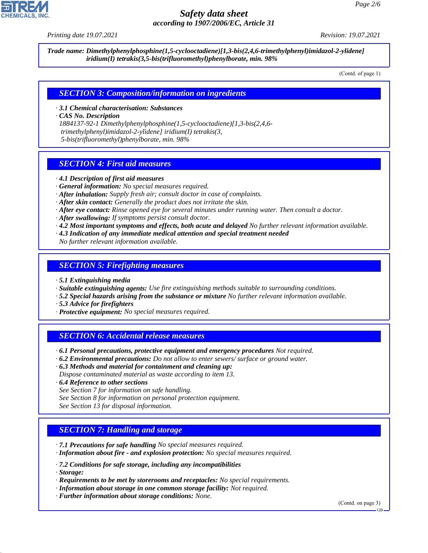*Printing date 19.07.2021 Revision: 19.07.2021*

*Trade name: Dimethylphenylphosphine(1,5-cyclooctadiene)[1,3-bis(2,4,6-trimethylphenyl)imidazol-2-ylidene] iridium(I) tetrakis(3,5-bis(trifluoromethyl)phenylborate, min. 98%*

(Contd. of page 1)

# *SECTION 3: Composition/information on ingredients*

*· 3.1 Chemical characterisation: Substances*

*· CAS No. Description*

*1884137-92-1 Dimethylphenylphosphine(1,5-cyclooctadiene)[1,3-bis(2,4,6 trimethylphenyl)imidazol-2-ylidene] iridium(I) tetrakis(3, 5-bis(trifluoromethyl)phenylborate, min. 98%*

# *SECTION 4: First aid measures*

- *· 4.1 Description of first aid measures*
- *· General information: No special measures required.*
- *· After inhalation: Supply fresh air; consult doctor in case of complaints.*
- *· After skin contact: Generally the product does not irritate the skin.*
- *· After eye contact: Rinse opened eye for several minutes under running water. Then consult a doctor.*
- *· After swallowing: If symptoms persist consult doctor.*
- *· 4.2 Most important symptoms and effects, both acute and delayed No further relevant information available.*
- *· 4.3 Indication of any immediate medical attention and special treatment needed No further relevant information available.*

# *SECTION 5: Firefighting measures*

- *· 5.1 Extinguishing media*
- *· Suitable extinguishing agents: Use fire extinguishing methods suitable to surrounding conditions.*
- *· 5.2 Special hazards arising from the substance or mixture No further relevant information available.*
- *· 5.3 Advice for firefighters*
- *· Protective equipment: No special measures required.*

# *SECTION 6: Accidental release measures*

- *· 6.1 Personal precautions, protective equipment and emergency procedures Not required.*
- *· 6.2 Environmental precautions: Do not allow to enter sewers/ surface or ground water.*
- *· 6.3 Methods and material for containment and cleaning up:*
- *Dispose contaminated material as waste according to item 13.*
- *· 6.4 Reference to other sections*
- *See Section 7 for information on safe handling.*
- *See Section 8 for information on personal protection equipment.*
- *See Section 13 for disposal information.*

# *SECTION 7: Handling and storage*

- *· 7.1 Precautions for safe handling No special measures required.*
- *· Information about fire and explosion protection: No special measures required.*
- *· 7.2 Conditions for safe storage, including any incompatibilities*
- *· Storage:*

44.1.1

- *· Requirements to be met by storerooms and receptacles: No special requirements.*
- *· Information about storage in one common storage facility: Not required.*
- *· Further information about storage conditions: None.*

(Contd. on page 3)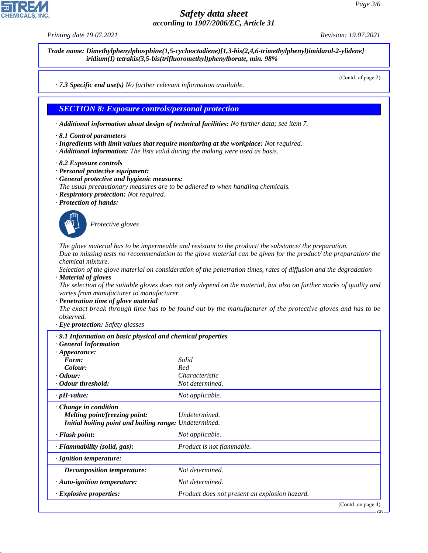*Printing date 19.07.2021 Revision: 19.07.2021*

*Trade name: Dimethylphenylphosphine(1,5-cyclooctadiene)[1,3-bis(2,4,6-trimethylphenyl)imidazol-2-ylidene] iridium(I) tetrakis(3,5-bis(trifluoromethyl)phenylborate, min. 98%*

(Contd. of page 2)

*· 7.3 Specific end use(s) No further relevant information available.*

# *SECTION 8: Exposure controls/personal protection*

- *· Additional information about design of technical facilities: No further data; see item 7.*
- *· 8.1 Control parameters*
- *· Ingredients with limit values that require monitoring at the workplace: Not required.*
- *· Additional information: The lists valid during the making were used as basis.*
- *· 8.2 Exposure controls*
- *· Personal protective equipment:*
- *· General protective and hygienic measures:*
- *The usual precautionary measures are to be adhered to when handling chemicals.*
- *· Respiratory protection: Not required.*
- *· Protection of hands:*



44.1.1

\_S*Protective gloves*

*The glove material has to be impermeable and resistant to the product/ the substance/ the preparation. Due to missing tests no recommendation to the glove material can be given for the product/ the preparation/ the chemical mixture.*

*Selection of the glove material on consideration of the penetration times, rates of diffusion and the degradation · Material of gloves*

*The selection of the suitable gloves does not only depend on the material, but also on further marks of quality and varies from manufacturer to manufacturer.*

*· Penetration time of glove material*

*The exact break through time has to be found out by the manufacturer of the protective gloves and has to be observed.*

*· Eye protection: Safety glasses*

| $\cdot$ 9.1 Information on basic physical and chemical properties<br><b>General Information</b> |                                               |
|-------------------------------------------------------------------------------------------------|-----------------------------------------------|
| $\cdot$ Appearance:                                                                             |                                               |
| Form:                                                                                           | Solid                                         |
| Colour:                                                                                         | Red                                           |
| $\cdot$ Odour:                                                                                  | Characteristic                                |
| Odour threshold:                                                                                | Not determined.                               |
| $\cdot$ pH-value:                                                                               | Not applicable.                               |
| $\cdot$ Change in condition                                                                     |                                               |
| <i>Melting point/freezing point:</i>                                                            | Undetermined.                                 |
| Initial boiling point and boiling range: Undetermined.                                          |                                               |
| $\cdot$ Flash point:                                                                            | Not applicable.                               |
| $\cdot$ Flammability (solid, gas):                                                              | Product is not flammable.                     |
| · Ignition temperature:                                                                         |                                               |
| <b>Decomposition temperature:</b>                                                               | Not determined.                               |
| · Auto-ignition temperature:                                                                    | Not determined.                               |
| · Explosive properties:                                                                         | Product does not present an explosion hazard. |
|                                                                                                 | $(C_{\text{out}}d_{\text{on space}}A)$        |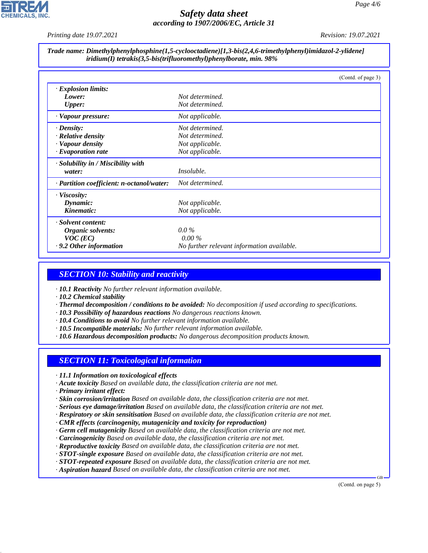*Printing date 19.07.2021 Revision: 19.07.2021*

### *Trade name: Dimethylphenylphosphine(1,5-cyclooctadiene)[1,3-bis(2,4,6-trimethylphenyl)imidazol-2-ylidene] iridium(I) tetrakis(3,5-bis(trifluoromethyl)phenylborate, min. 98%*

|                                           | (Contd. of page 3)                         |
|-------------------------------------------|--------------------------------------------|
| $\cdot$ Explosion limits:                 |                                            |
| Lower:                                    | Not determined.                            |
| <b>Upper:</b>                             | Not determined.                            |
| · Vapour pressure:                        | Not applicable.                            |
| $\cdot$ Density:                          | Not determined.                            |
| $\cdot$ Relative density                  | Not determined.                            |
| · Vapour density                          | Not applicable.                            |
| $\cdot$ Evaporation rate                  | Not applicable.                            |
| · Solubility in / Miscibility with        |                                            |
| water:                                    | <i>Insoluble.</i>                          |
| · Partition coefficient: n-octanol/water: | Not determined.                            |
| $\cdot$ Viscosity:                        |                                            |
| Dynamic:                                  | Not applicable.                            |
| Kinematic:                                | Not applicable.                            |
| · Solvent content:                        |                                            |
| Organic solvents:                         | $0.0\%$                                    |
| $VOC$ (EC)                                | $0.00\%$                                   |
| $\cdot$ 9.2 Other information             | No further relevant information available. |

# *SECTION 10: Stability and reactivity*

*· 10.1 Reactivity No further relevant information available.*

*· 10.2 Chemical stability*

- *· Thermal decomposition / conditions to be avoided: No decomposition if used according to specifications.*
- *· 10.3 Possibility of hazardous reactions No dangerous reactions known.*
- *· 10.4 Conditions to avoid No further relevant information available.*
- *· 10.5 Incompatible materials: No further relevant information available.*
- *· 10.6 Hazardous decomposition products: No dangerous decomposition products known.*

# *SECTION 11: Toxicological information*

- *· 11.1 Information on toxicological effects*
- *· Acute toxicity Based on available data, the classification criteria are not met.*
- *· Primary irritant effect:*

44.1.1

- *· Skin corrosion/irritation Based on available data, the classification criteria are not met.*
- *· Serious eye damage/irritation Based on available data, the classification criteria are not met.*
- *· Respiratory or skin sensitisation Based on available data, the classification criteria are not met.*
- *· CMR effects (carcinogenity, mutagenicity and toxicity for reproduction)*
- *· Germ cell mutagenicity Based on available data, the classification criteria are not met.*
- *· Carcinogenicity Based on available data, the classification criteria are not met.*
- *· Reproductive toxicity Based on available data, the classification criteria are not met.*
- *· STOT-single exposure Based on available data, the classification criteria are not met.*
- *· STOT-repeated exposure Based on available data, the classification criteria are not met.*
- *· Aspiration hazard Based on available data, the classification criteria are not met.*

(Contd. on page 5)

GB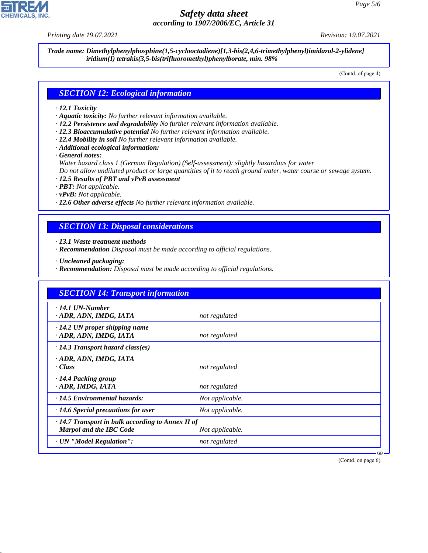*Printing date 19.07.2021 Revision: 19.07.2021*

*Trade name: Dimethylphenylphosphine(1,5-cyclooctadiene)[1,3-bis(2,4,6-trimethylphenyl)imidazol-2-ylidene] iridium(I) tetrakis(3,5-bis(trifluoromethyl)phenylborate, min. 98%*

(Contd. of page 4)

### *SECTION 12: Ecological information*

### *· 12.1 Toxicity*

- *· Aquatic toxicity: No further relevant information available.*
- *· 12.2 Persistence and degradability No further relevant information available.*
- *· 12.3 Bioaccumulative potential No further relevant information available.*
- *· 12.4 Mobility in soil No further relevant information available.*
- *· Additional ecological information:*

*· General notes:*

*Water hazard class 1 (German Regulation) (Self-assessment): slightly hazardous for water*

*Do not allow undiluted product or large quantities of it to reach ground water, water course or sewage system.*

- *· 12.5 Results of PBT and vPvB assessment*
- *· PBT: Not applicable.*
- *· vPvB: Not applicable.*
- *· 12.6 Other adverse effects No further relevant information available.*

# *SECTION 13: Disposal considerations*

*· 13.1 Waste treatment methods*

- *· Recommendation Disposal must be made according to official regulations.*
- *· Uncleaned packaging:*

44.1.1

*· Recommendation: Disposal must be made according to official regulations.*

| <b>SECTION 14: Transport information</b>                       |                 |  |
|----------------------------------------------------------------|-----------------|--|
| $\cdot$ 14.1 UN-Number<br>· ADR, ADN, IMDG, IATA               | not regulated   |  |
| $\cdot$ 14.2 UN proper shipping name<br>· ADR, ADN, IMDG, IATA | not regulated   |  |
| $\cdot$ 14.3 Transport hazard class(es)                        |                 |  |
| · ADR, ADN, IMDG, IATA                                         |                 |  |
| · Class                                                        | not regulated   |  |
| · 14.4 Packing group                                           |                 |  |
| · ADR, IMDG, IATA                                              | not regulated   |  |
| $\cdot$ 14.5 Environmental hazards:                            | Not applicable. |  |
| $\cdot$ 14.6 Special precautions for user                      | Not applicable. |  |
| $\cdot$ 14.7 Transport in bulk according to Annex II of        |                 |  |
| <b>Marpol and the IBC Code</b>                                 | Not applicable. |  |
| · UN "Model Regulation":                                       | not regulated   |  |

(Contd. on page 6)

GB